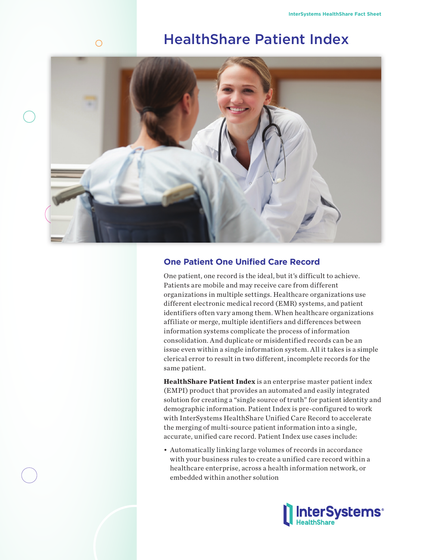# HealthShare Patient Index



 $\bigcirc$ 

## **One Patient One Unified Care Record**

One patient, one record is the ideal, but it's difficult to achieve. Patients are mobile and may receive care from different organizations in multiple settings. Healthcare organizations use different electronic medical record (EMR) systems, and patient identifiers often vary among them. When healthcare organizations affiliate or merge, multiple identifiers and differences between information systems complicate the process of information consolidation. And duplicate or misidentified records can be an issue even within a single information system. All it takes is a simple clerical error to result in two different, incomplete records for the same patient.

**HealthShare Patient Index** is an enterprise master patient index (EMPI) product that provides an automated and easily integrated solution for creating a "single source of truth" for patient identity and demographic information. Patient Index is pre-configured to work with InterSystems HealthShare Unified Care Record to accelerate the merging of multi-source patient information into a single, accurate, unified care record. Patient Index use cases include:

• Automatically linking large volumes of records in accordance with your business rules to create a unified care record within a healthcare enterprise, across a health information network, or embedded within another solution

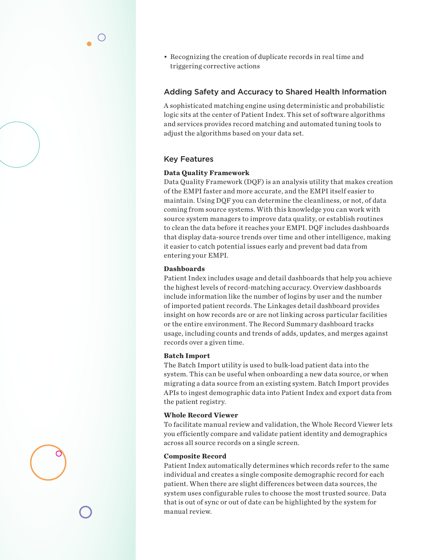• Recognizing the creation of duplicate records in real time and triggering corrective actions

## Adding Safety and Accuracy to Shared Health Information

A sophisticated matching engine using deterministic and probabilistic logic sits at the center of Patient Index. This set of software algorithms and services provides record matching and automated tuning tools to adjust the algorithms based on your data set.

## Key Features

#### **Data Quality Framework**

Data Quality Framework (DQF) is an analysis utility that makes creation of the EMPI faster and more accurate, and the EMPI itself easier to maintain. Using DQF you can determine the cleanliness, or not, of data coming from source systems. With this knowledge you can work with source system managers to improve data quality, or establish routines to clean the data before it reaches your EMPI. DQF includes dashboards that display data-source trends over time and other intelligence, making it easier to catch potential issues early and prevent bad data from entering your EMPI.

### **Dashboards**

Patient Index includes usage and detail dashboards that help you achieve the highest levels of record-matching accuracy. Overview dashboards include information like the number of logins by user and the number of imported patient records. The Linkages detail dashboard provides insight on how records are or are not linking across particular facilities or the entire environment. The Record Summary dashboard tracks usage, including counts and trends of adds, updates, and merges against records over a given time.

#### **Batch Import**

The Batch Import utility is used to bulk-load patient data into the system. This can be useful when onboarding a new data source, or when migrating a data source from an existing system. Batch Import provides APIs to ingest demographic data into Patient Index and export data from the patient registry.

### **Whole Record Viewer**

To facilitate manual review and validation, the Whole Record Viewer lets you efficiently compare and validate patient identity and demographics across all source records on a single screen.

#### **Composite Record**

Patient Index automatically determines which records refer to the same individual and creates a single composite demographic record for each patient. When there are slight differences between data sources, the system uses configurable rules to choose the most trusted source. Data that is out of sync or out of date can be highlighted by the system for manual review.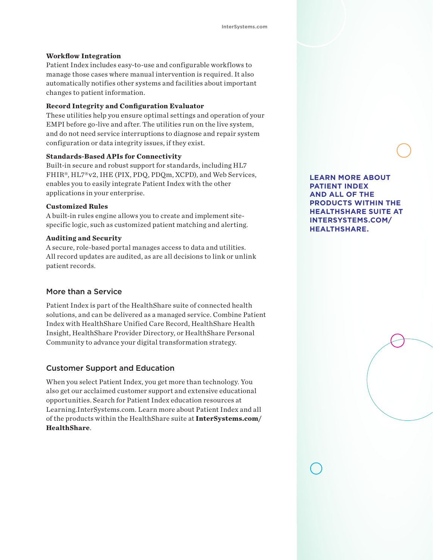#### **Workflow Integration**

Patient Index includes easy-to-use and configurable workflows to manage those cases where manual intervention is required. It also automatically notifies other systems and facilities about important changes to patient information.

#### **Record Integrity and Configuration Evaluator**

These utilities help you ensure optimal settings and operation of your EMPI before go-live and after. The utilities run on the live system, and do not need service interruptions to diagnose and repair system configuration or data integrity issues, if they exist.

#### **Standards-Based APIs for Connectivity**

Built-in secure and robust support for standards, including HL7 FHIR®, HL7®v2, IHE (PIX, PDQ, PDQm, XCPD), and Web Services, enables you to easily integrate Patient Index with the other applications in your enterprise.

#### **Customized Rules**

A built-in rules engine allows you to create and implement sitespecific logic, such as customized patient matching and alerting.

#### **Auditing and Security**

A secure, role-based portal manages access to data and utilities. All record updates are audited, as are all decisions to link or unlink patient records.

## More than a Service

Patient Index is part of the HealthShare suite of connected health solutions, and can be delivered as a managed service. Combine Patient Index with HealthShare Unified Care Record, HealthShare Health Insight, HealthShare Provider Directory, or HealthShare Personal Community to advance your digital transformation strategy.

#### Customer Support and Education

When you select Patient Index, you get more than technology. You also get our acclaimed customer support and extensive educational opportunities. Search for Patient Index education resources at Learning.InterSystems.com. Learn more about Patient Index and all of the products within the HealthShare suite at **InterSystems.com/ HealthShare**.

**LEARN MORE ABOUT PATIENT INDEX AND ALL OF THE PRODUCTS WITHIN THE HEALTHSHARE SUITE AT INTERSYSTEMS.COM/ HEALTHSHARE.**